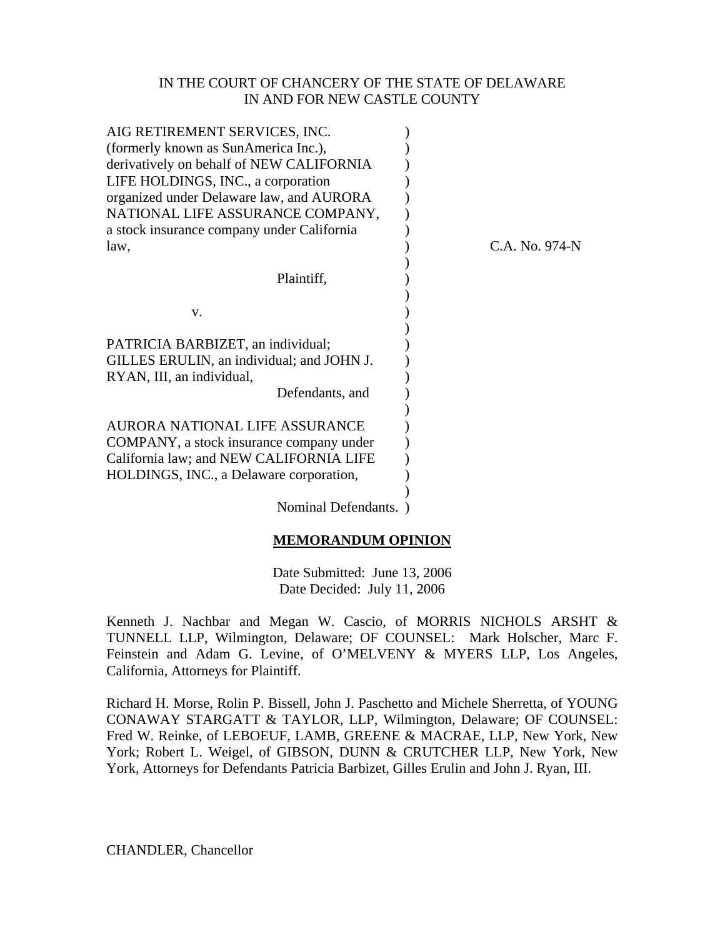#### IN THE COURT OF CHANCERY OF THE STATE OF DELAWARE IN AND FOR NEW CASTLE COUNTY

| AIG RETIREMENT SERVICES, INC.<br>(formerly known as SunAmerica Inc.),<br>derivatively on behalf of NEW CALIFORNIA<br>LIFE HOLDINGS, INC., a corporation |                  |
|---------------------------------------------------------------------------------------------------------------------------------------------------------|------------------|
| organized under Delaware law, and AURORA                                                                                                                |                  |
| NATIONAL LIFE ASSURANCE COMPANY,                                                                                                                        |                  |
| a stock insurance company under California                                                                                                              |                  |
| law,                                                                                                                                                    | $C.A.$ No. 974-N |
|                                                                                                                                                         |                  |
| Plaintiff,                                                                                                                                              |                  |
|                                                                                                                                                         |                  |
| V.                                                                                                                                                      |                  |
| PATRICIA BARBIZET, an individual;                                                                                                                       |                  |
| GILLES ERULIN, an individual; and JOHN J.                                                                                                               |                  |
| RYAN, III, an individual,                                                                                                                               |                  |
| Defendants, and                                                                                                                                         |                  |
|                                                                                                                                                         |                  |
| AURORA NATIONAL LIFE ASSURANCE                                                                                                                          |                  |
| COMPANY, a stock insurance company under                                                                                                                |                  |
| California law; and NEW CALIFORNIA LIFE                                                                                                                 |                  |
| HOLDINGS, INC., a Delaware corporation,                                                                                                                 |                  |
| Nominal Defendants.                                                                                                                                     |                  |
|                                                                                                                                                         |                  |

#### **MEMORANDUM OPINION**

Date Submitted: June 13, 2006 Date Decided: July 11, 2006

Kenneth J. Nachbar and Megan W. Cascio, of MORRIS NICHOLS ARSHT & TUNNELL LLP, Wilmington, Delaware; OF COUNSEL: Mark Holscher, Marc F. Feinstein and Adam G. Levine, of O'MELVENY & MYERS LLP, Los Angeles, California, Attorneys for Plaintiff.

Richard H. Morse, Rolin P. Bissell, John J. Paschetto and Michele Sherretta, of YOUNG CONAWAY STARGATT & TAYLOR, LLP, Wilmington, Delaware; OF COUNSEL: Fred W. Reinke, of LEBOEUF, LAMB, GREENE & MACRAE, LLP, New York, New York; Robert L. Weigel, of GIBSON, DUNN & CRUTCHER LLP, New York, New York, Attorneys for Defendants Patricia Barbizet, Gilles Erulin and John J. Ryan, III.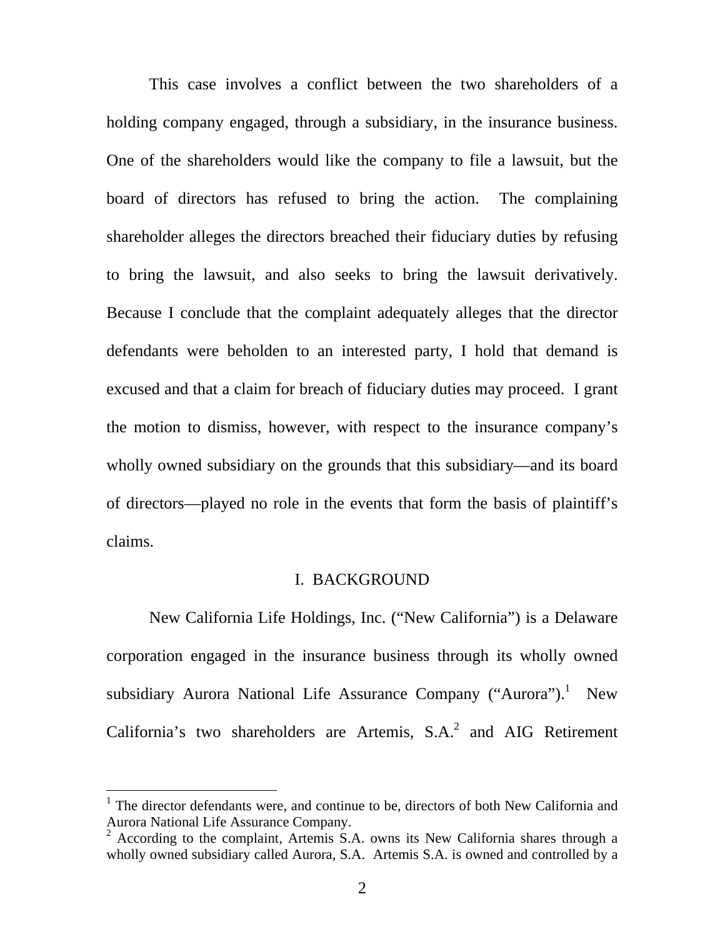<span id="page-1-1"></span>This case involves a conflict between the two shareholders of a holding company engaged, through a subsidiary, in the insurance business. One of the shareholders would like the company to file a lawsuit, but the board of directors has refused to bring the action. The complaining shareholder alleges the directors breached their fiduciary duties by refusing to bring the lawsuit, and also seeks to bring the lawsuit derivatively. Because I conclude that the complaint adequately alleges that the director defendants were beholden to an interested party, I hold that demand is excused and that a claim for breach of fiduciary duties may proceed. I grant the motion to dismiss, however, with respect to the insurance company's wholly owned subsidiary on the grounds that this subsidiary—and its board of directors—played no role in the events that form the basis of plaintiff's claims.

### I. BACKGROUND

New California Life Holdings, Inc. ("New California") is a Delaware corporation engaged in the insurance business through its wholly owned subsidiary Aurora National Life Assurance Company ("Aurora").<sup>[1](#page-1-0)</sup> New California's two shareholders are Artemis,  $S.A.^2$  $S.A.^2$  and AIG Retirement

<span id="page-1-0"></span><sup>&</sup>lt;sup>1</sup> The director defendants were, and continue to be, directors of both New California and Aurora National Life Assurance Company.

<sup>&</sup>lt;sup>2</sup> According to the complaint, Artemis S.A. owns its New California shares through a wholly owned subsidiary called Aurora, S.A. Artemis S.A. is owned and controlled by a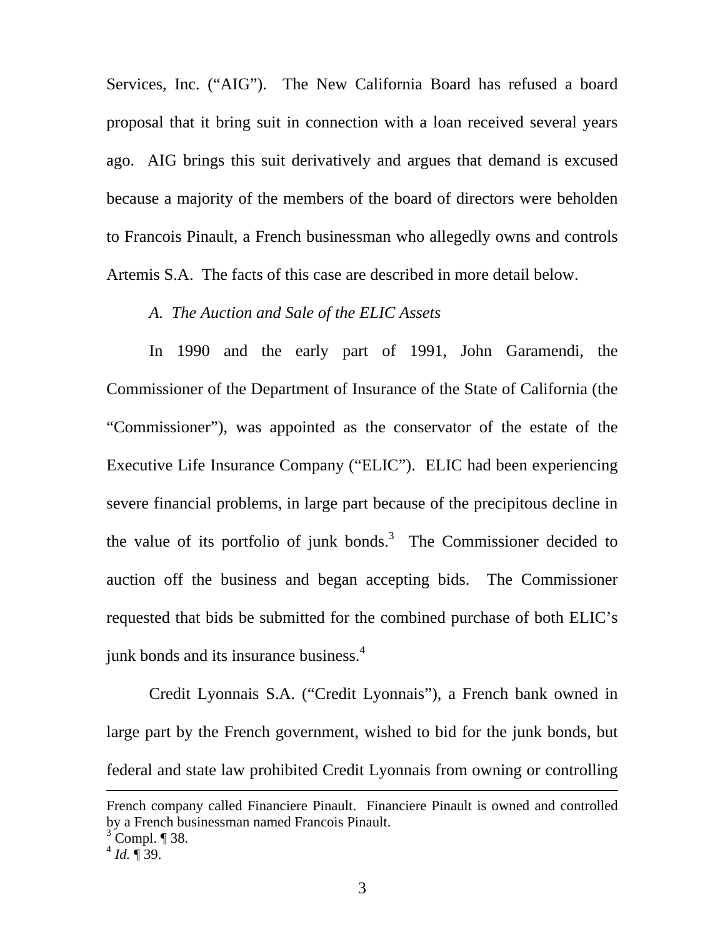Services, Inc. ("AIG"). The New California Board has refused a board proposal that it bring suit in connection with a loan received several years ago. AIG brings this suit derivatively and argues that demand is excused because a majority of the members of the board of directors were beholden to Francois Pinault, a French businessman who allegedly owns and controls Artemis S.A. The facts of this case are described in more detail below.

### *A. The Auction and Sale of the ELIC Assets*

In 1990 and the early part of 1991, John Garamendi, the Commissioner of the Department of Insurance of the State of California (the "Commissioner"), was appointed as the conservator of the estate of the Executive Life Insurance Company ("ELIC"). ELIC had been experiencing severe financial problems, in large part because of the precipitous decline in the value of its portfolio of junk bonds.<sup>[3](#page-2-0)</sup> The Commissioner decided to auction off the business and began accepting bids. The Commissioner requested that bids be submitted for the combined purchase of both ELIC's junk bonds and its insurance business.<sup>[4](#page-2-1)</sup>

Credit Lyonnais S.A. ("Credit Lyonnais"), a French bank owned in large part by the French government, wished to bid for the junk bonds, but federal and state law prohibited Credit Lyonnais from owning or controlling

French company called Financiere Pinault. Financiere Pinault is owned and controlled by a French businessman named Francois Pinault.

<span id="page-2-0"></span> $3^3$  Compl. ¶ 38.

<span id="page-2-1"></span> $^{4}$  *Id.*  $\sqrt{ }$  39.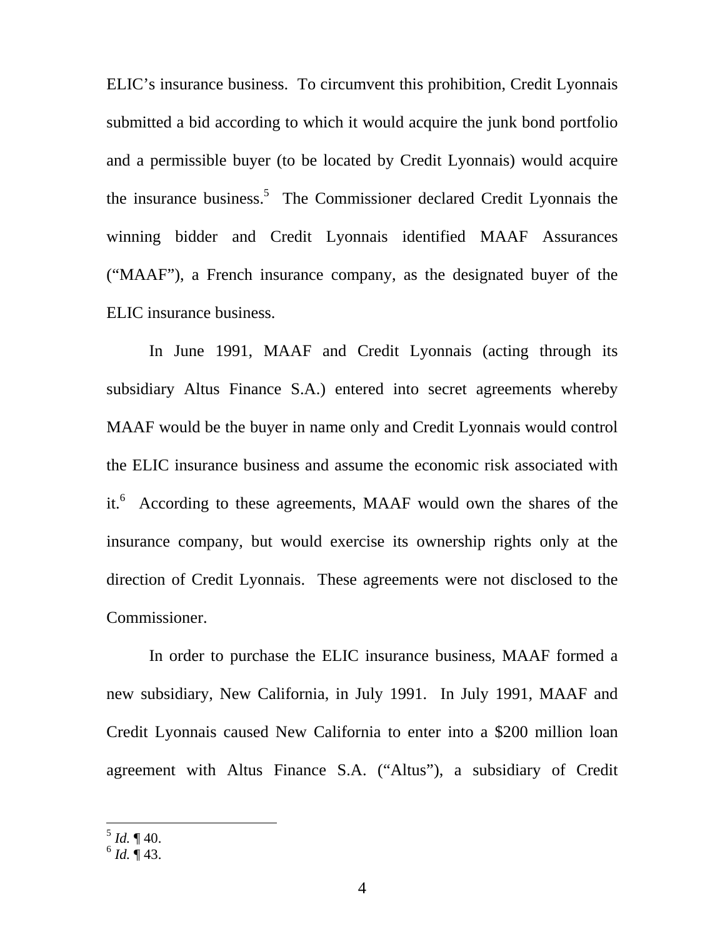ELIC's insurance business. To circumvent this prohibition, Credit Lyonnais submitted a bid according to which it would acquire the junk bond portfolio and a permissible buyer (to be located by Credit Lyonnais) would acquire the insurance business.<sup>[5](#page-3-0)</sup> The Commissioner declared Credit Lyonnais the winning bidder and Credit Lyonnais identified MAAF Assurances ("MAAF"), a French insurance company, as the designated buyer of the ELIC insurance business.

In June 1991, MAAF and Credit Lyonnais (acting through its subsidiary Altus Finance S.A.) entered into secret agreements whereby MAAF would be the buyer in name only and Credit Lyonnais would control the ELIC insurance business and assume the economic risk associated with it.<sup>6</sup> According to these agreements, MAAF would own the shares of the insurance company, but would exercise its ownership rights only at the direction of Credit Lyonnais. These agreements were not disclosed to the Commissioner.

In order to purchase the ELIC insurance business, MAAF formed a new subsidiary, New California, in July 1991. In July 1991, MAAF and Credit Lyonnais caused New California to enter into a \$200 million loan agreement with Altus Finance S.A. ("Altus"), a subsidiary of Credit

<span id="page-3-0"></span> $^5$  *Id.*  $\P$  40.

<span id="page-3-1"></span> $^{6}$  *Id.*  $\overline{9}$  43.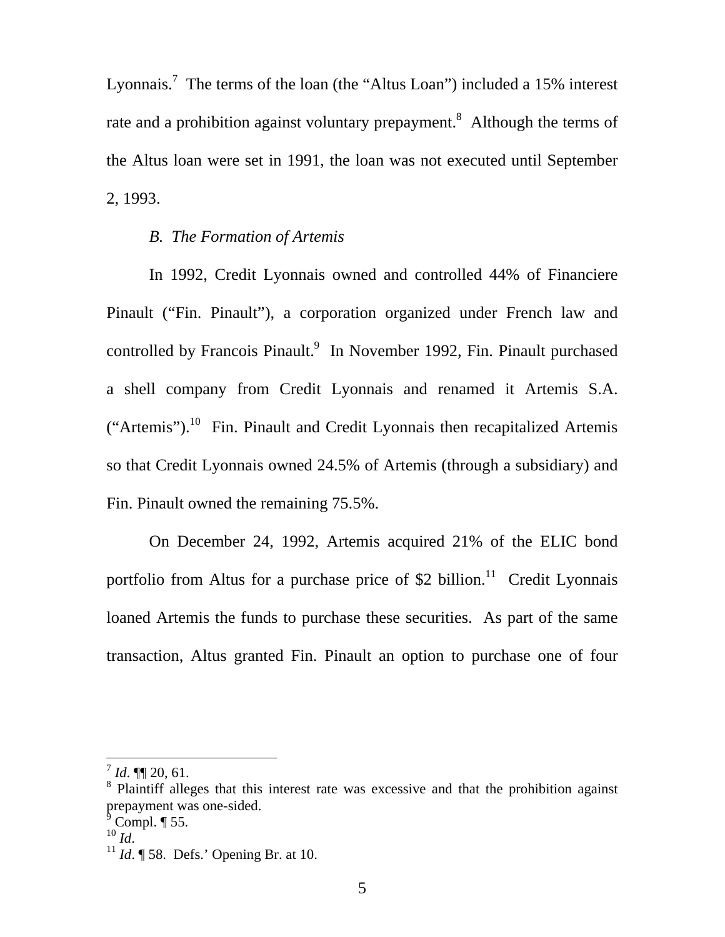Lyonnais.<sup>[7](#page-4-0)</sup> The terms of the loan (the "Altus Loan") included a 15% interest rate and a prohibition against voluntary prepayment.<sup>[8](#page-4-1)</sup> Although the terms of the Altus loan were set in 1991, the loan was not executed until September 2, 1993.

### *B. The Formation of Artemis*

In 1992, Credit Lyonnais owned and controlled 44% of Financiere Pinault ("Fin. Pinault"), a corporation organized under French law and controlled by Francois Pinault.<sup>[9](#page-4-2)</sup> In November 1992, Fin. Pinault purchased a shell company from Credit Lyonnais and renamed it Artemis S.A. ("Artemis").<sup>10</sup> Fin. Pinault and Credit Lyonnais then recapitalized Artemis so that Credit Lyonnais owned 24.5% of Artemis (through a subsidiary) and Fin. Pinault owned the remaining 75.5%.

On December 24, 1992, Artemis acquired 21% of the ELIC bond portfolio from Altus for a purchase price of \$2 billion.<sup>11</sup> Credit Lyonnais loaned Artemis the funds to purchase these securities. As part of the same transaction, Altus granted Fin. Pinault an option to purchase one of four

<span id="page-4-0"></span> $^{7}$  *Id.*  $\P$  20, 61.

<span id="page-4-1"></span><sup>&</sup>lt;sup>8</sup> Plaintiff alleges that this interest rate was excessive and that the prohibition against prepayment was one-sided.

<span id="page-4-2"></span> $^9$  Compl. ¶ 55.<br><sup>10</sup> *Id*.

<span id="page-4-3"></span>

<span id="page-4-4"></span> $11$  *Id.*  $\sqrt{ }$  58. Defs.' Opening Br. at 10.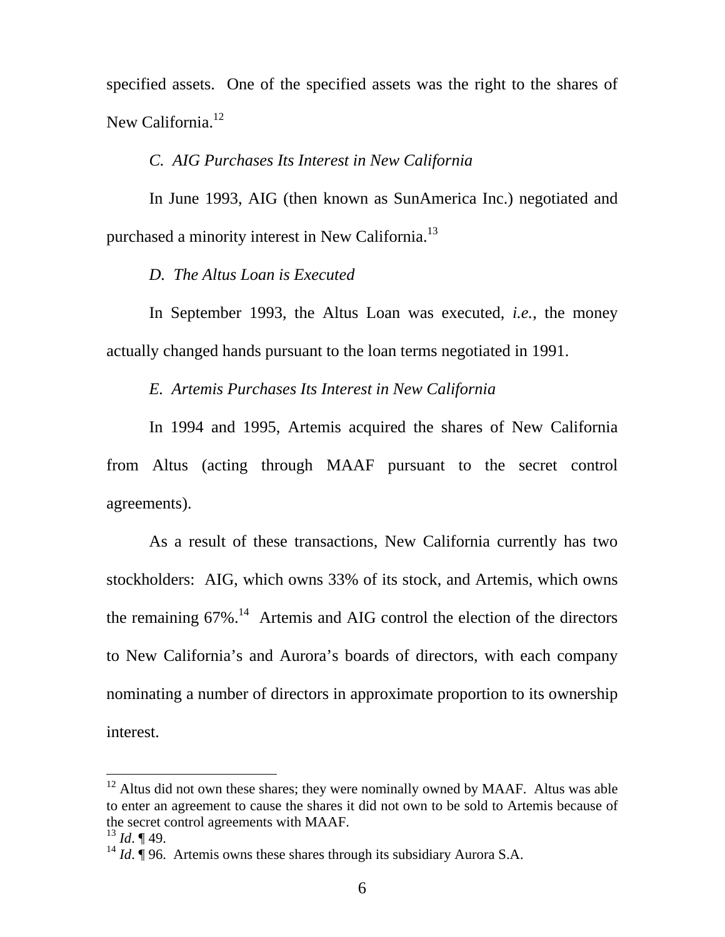specified assets. One of the specified assets was the right to the shares of New California.<sup>[12](#page-5-0)</sup>

#### *C. AIG Purchases Its Interest in New California*

In June 1993, AIG (then known as SunAmerica Inc.) negotiated and purchased a minority interest in New California.<sup>13</sup>

*D. The Altus Loan is Executed*

In September 1993, the Altus Loan was executed, *i.e.*, the money actually changed hands pursuant to the loan terms negotiated in 1991.

*E. Artemis Purchases Its Interest in New California* 

In 1994 and 1995, Artemis acquired the shares of New California from Altus (acting through MAAF pursuant to the secret control agreements).

As a result of these transactions, New California currently has two stockholders: AIG, which owns 33% of its stock, and Artemis, which owns the remaining  $67\%$ .<sup>14</sup> Artemis and AIG control the election of the directors to New California's and Aurora's boards of directors, with each company nominating a number of directors in approximate proportion to its ownership interest.

<span id="page-5-0"></span><sup>&</sup>lt;sup>12</sup> Altus did not own these shares; they were nominally owned by MAAF. Altus was able to enter an agreement to cause the shares it did not own to be sold to Artemis because of the secret control agreements with MAAF.

<span id="page-5-1"></span> $^{13}$  *Id.* ¶ 49.

<span id="page-5-2"></span><sup>&</sup>lt;sup>14</sup> *Id.*  $\int$  96. Artemis owns these shares through its subsidiary Aurora S.A.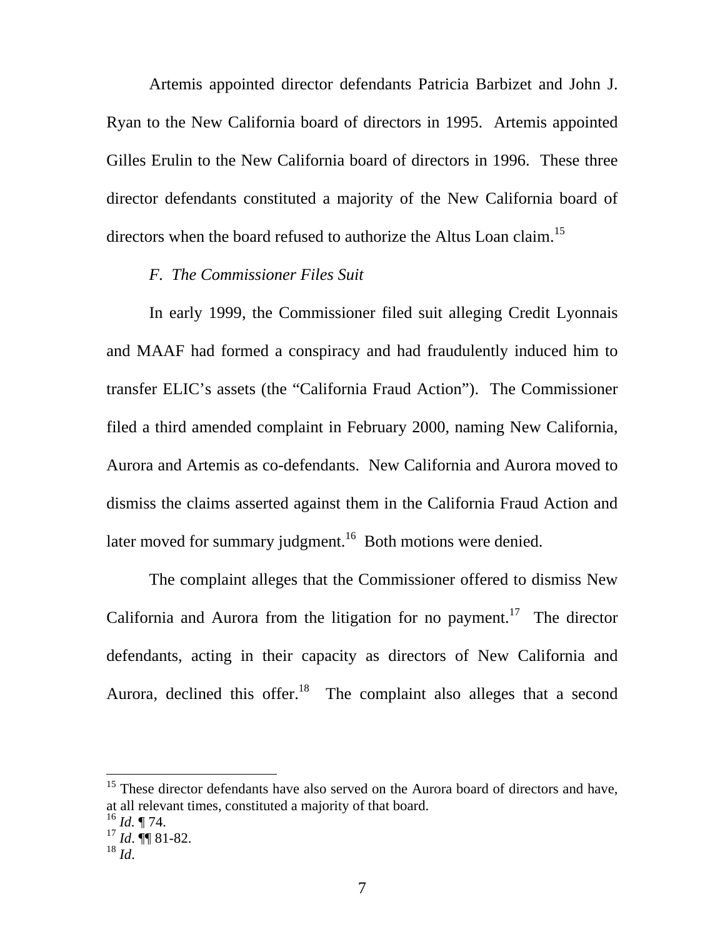Artemis appointed director defendants Patricia Barbizet and John J. Ryan to the New California board of directors in 1995. Artemis appointed Gilles Erulin to the New California board of directors in 1996. These three director defendants constituted a majority of the New California board of directors when the board refused to authorize the Altus Loan claim.<sup>15</sup>

### *F. The Commissioner Files Suit*

In early 1999, the Commissioner filed suit alleging Credit Lyonnais and MAAF had formed a conspiracy and had fraudulently induced him to transfer ELIC's assets (the "California Fraud Action"). The Commissioner filed a third amended complaint in February 2000, naming New California, Aurora and Artemis as co-defendants. New California and Aurora moved to dismiss the claims asserted against them in the California Fraud Action and later moved for summary judgment.<sup>16</sup> Both motions were denied.

The complaint alleges that the Commissioner offered to dismiss New California and Aurora from the litigation for no payment.<sup>17</sup> The director defendants, acting in their capacity as directors of New California and Aurora, declined this offer.<sup>18</sup> The complaint also alleges that a second

<span id="page-6-0"></span><sup>15</sup> These director defendants have also served on the Aurora board of directors and have, at all relevant times, constituted a majority of that board.

<span id="page-6-1"></span> $^{16}$  *Id.* ¶ 74.

<span id="page-6-2"></span><sup>17</sup> *Id*. ¶¶ 81-82.

<span id="page-6-3"></span><sup>18</sup> *Id*.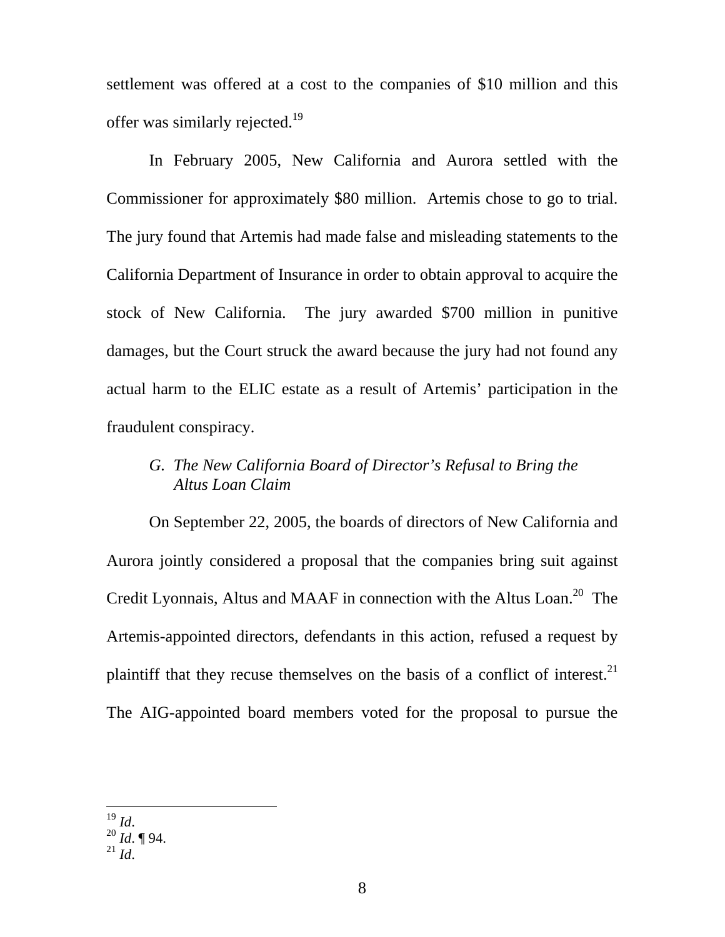settlement was offered at a cost to the companies of \$10 million and this offer was similarly rejected.<sup>19</sup>

In February 2005, New California and Aurora settled with the Commissioner for approximately \$80 million. Artemis chose to go to trial. The jury found that Artemis had made false and misleading statements to the California Department of Insurance in order to obtain approval to acquire the stock of New California. The jury awarded \$700 million in punitive damages, but the Court struck the award because the jury had not found any actual harm to the ELIC estate as a result of Artemis' participation in the fraudulent conspiracy.

# *G. The New California Board of Director's Refusal to Bring the Altus Loan Claim*

On September 22, 2005, the boards of directors of New California and Aurora jointly considered a proposal that the companies bring suit against Credit Lyonnais, Altus and MAAF in connection with the Altus Loan.<sup>20</sup> The Artemis-appointed directors, defendants in this action, refused a request by plaintiff that they recuse themselves on the basis of a conflict of interest.<sup>21</sup> The AIG-appointed board members voted for the proposal to pursue the

<span id="page-7-0"></span> $^{19}$  Id.

<span id="page-7-1"></span><sup>19</sup> *Id*. 20 *Id*. ¶ 94.

<span id="page-7-2"></span> $^{21}$  *Id.*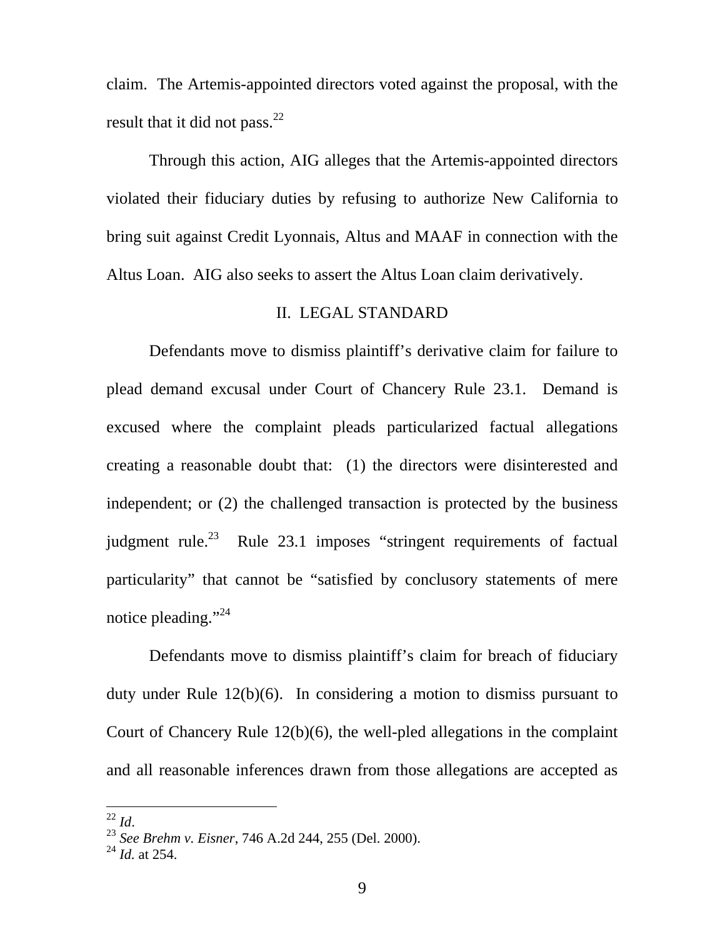claim. The Artemis-appointed directors voted against the proposal, with the result that it did not pass. $^{22}$  $^{22}$  $^{22}$ 

Through this action, AIG alleges that the Artemis-appointed directors violated their fiduciary duties by refusing to authorize New California to bring suit against Credit Lyonnais, Altus and MAAF in connection with the Altus Loan. AIG also seeks to assert the Altus Loan claim derivatively.

### II. LEGAL STANDARD

Defendants move to dismiss plaintiff's derivative claim for failure to plead demand excusal under Court of Chancery Rule 23.1. Demand is excused where the complaint pleads particularized factual allegations creating a reasonable doubt that: (1) the directors were disinterested and independent; or (2) the challenged transaction is protected by the business judgment rule.<sup>23</sup> Rule 23.1 imposes "stringent requirements of factual particularity" that cannot be "satisfied by conclusory statements of mere notice pleading."<sup>[24](#page-8-2)</sup>

Defendants move to dismiss plaintiff's claim for breach of fiduciary duty under Rule 12(b)(6). In considering a motion to dismiss pursuant to Court of Chancery Rule 12(b)(6), the well-pled allegations in the complaint and all reasonable inferences drawn from those allegations are accepted as

<span id="page-8-0"></span> $^{22}$  *Id.* 

<span id="page-8-1"></span><sup>22</sup> *Id*. 23 *See Brehm v. Eisner*, 746 A.2d 244, 255 (Del. 2000).

<span id="page-8-2"></span><sup>24</sup> *Id.* at 254.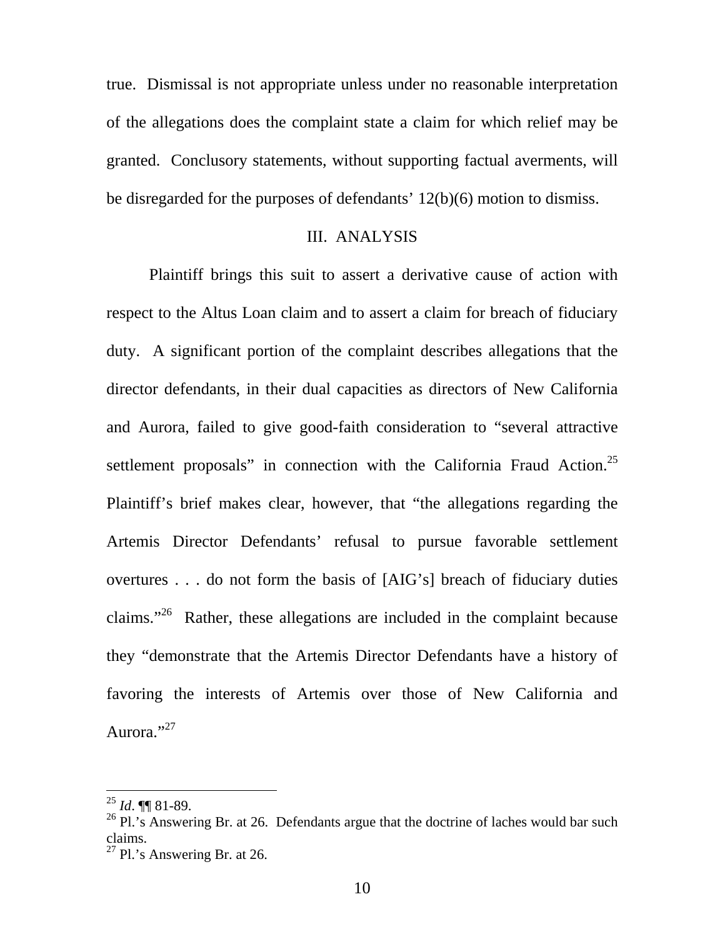true. Dismissal is not appropriate unless under no reasonable interpretation of the allegations does the complaint state a claim for which relief may be granted. Conclusory statements, without supporting factual averments, will be disregarded for the purposes of defendants' 12(b)(6) motion to dismiss.

#### III. ANALYSIS

Plaintiff brings this suit to assert a derivative cause of action with respect to the Altus Loan claim and to assert a claim for breach of fiduciary duty. A significant portion of the complaint describes allegations that the director defendants, in their dual capacities as directors of New California and Aurora, failed to give good-faith consideration to "several attractive settlement proposals" in connection with the California Fraud Action.<sup>25</sup> Plaintiff's brief makes clear, however, that "the allegations regarding the Artemis Director Defendants' refusal to pursue favorable settlement overtures . . . do not form the basis of [AIG's] breach of fiduciary duties claims."<sup>26</sup> Rather, these allegations are included in the complaint because they "demonstrate that the Artemis Director Defendants have a history of favoring the interests of Artemis over those of New California and Aurora."<sup>27</sup>

<span id="page-9-0"></span><sup>25</sup> *Id*. ¶¶ 81-89.

<span id="page-9-1"></span> $26$  Pl.'s Answering Br. at 26. Defendants argue that the doctrine of laches would bar such claims.<br><sup>27</sup> Pl.'s Answering Br. at 26.

<span id="page-9-2"></span>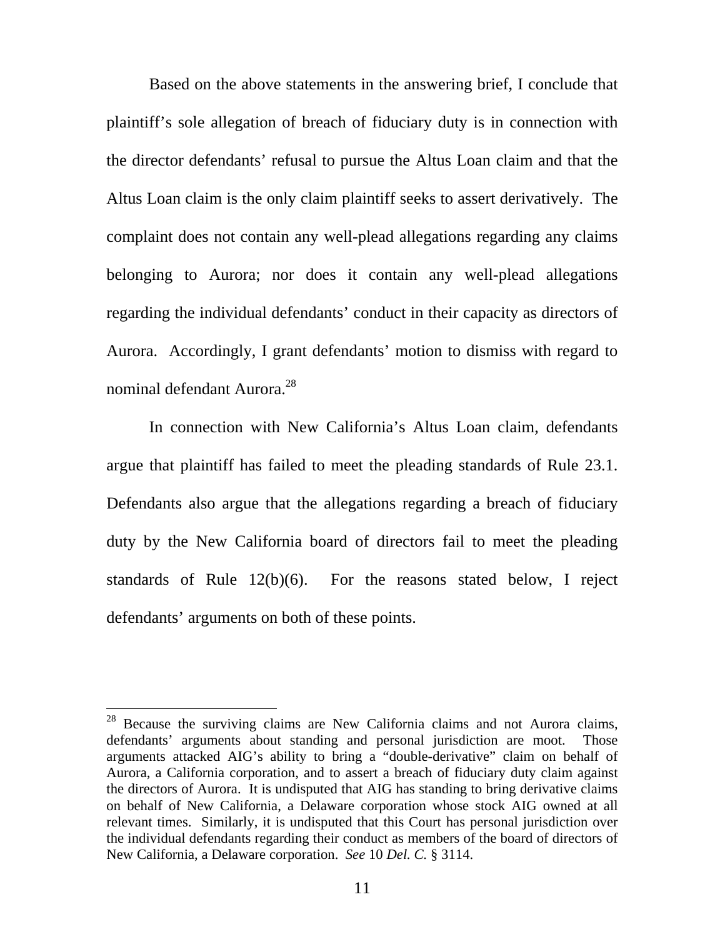Based on the above statements in the answering brief, I conclude that plaintiff's sole allegation of breach of fiduciary duty is in connection with the director defendants' refusal to pursue the Altus Loan claim and that the Altus Loan claim is the only claim plaintiff seeks to assert derivatively. The complaint does not contain any well-plead allegations regarding any claims belonging to Aurora; nor does it contain any well-plead allegations regarding the individual defendants' conduct in their capacity as directors of Aurora. Accordingly, I grant defendants' motion to dismiss with regard to nominal defendant Aurora.<sup>[28](#page-10-0)</sup>

In connection with New California's Altus Loan claim, defendants argue that plaintiff has failed to meet the pleading standards of Rule 23.1. Defendants also argue that the allegations regarding a breach of fiduciary duty by the New California board of directors fail to meet the pleading standards of Rule 12(b)(6). For the reasons stated below, I reject defendants' arguments on both of these points.

<span id="page-10-0"></span> $28$  Because the surviving claims are New California claims and not Aurora claims, defendants' arguments about standing and personal jurisdiction are moot. Those arguments attacked AIG's ability to bring a "double-derivative" claim on behalf of Aurora, a California corporation, and to assert a breach of fiduciary duty claim against the directors of Aurora. It is undisputed that AIG has standing to bring derivative claims on behalf of New California, a Delaware corporation whose stock AIG owned at all relevant times. Similarly, it is undisputed that this Court has personal jurisdiction over the individual defendants regarding their conduct as members of the board of directors of New California, a Delaware corporation. *See* 10 *Del. C.* § 3114.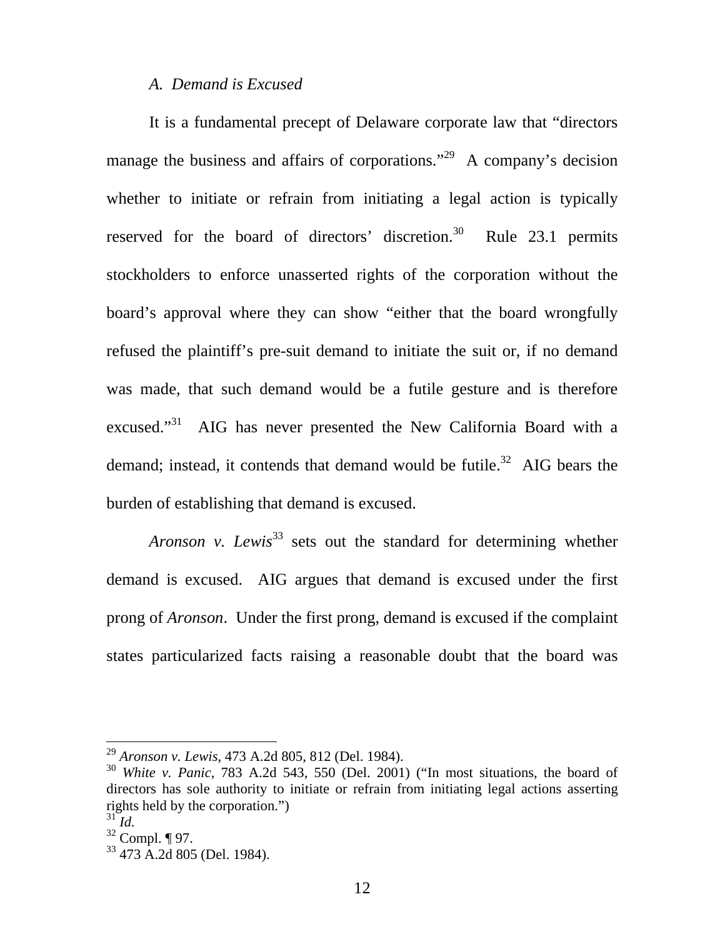### *A. Demand is Excused*

It is a fundamental precept of Delaware corporate law that "directors manage the business and affairs of corporations."<sup>29</sup> A company's decision whether to initiate or refrain from initiating a legal action is typically reserved for the board of directors' discretion.<sup>30</sup> Rule 23.1 permits stockholders to enforce unasserted rights of the corporation without the board's approval where they can show "either that the board wrongfully refused the plaintiff's pre-suit demand to initiate the suit or, if no demand was made, that such demand would be a futile gesture and is therefore excused."<sup>31</sup> AIG has never presented the New California Board with a demand; instead, it contends that demand would be futile.<sup>32</sup> AIG bears the burden of establishing that demand is excused.

*Aronson v. Lewis*<sup>[33](#page-11-4)</sup> sets out the standard for determining whether demand is excused. AIG argues that demand is excused under the first prong of *Aronson*. Under the first prong, demand is excused if the complaint states particularized facts raising a reasonable doubt that the board was

<span id="page-11-0"></span><sup>29</sup> *Aronson v. Lewis*, 473 A.2d 805, 812 (Del. 1984).

<span id="page-11-1"></span><sup>30</sup> *White v. Panic*, 783 A.2d 543, 550 (Del. 2001) ("In most situations, the board of directors has sole authority to initiate or refrain from initiating legal actions asserting rights held by the corporation.")

<span id="page-11-2"></span><sup>31</sup> *Id.*

<span id="page-11-3"></span> $32$  Compl. ¶ 97.

<span id="page-11-4"></span><sup>33 473</sup> A.2d 805 (Del. 1984).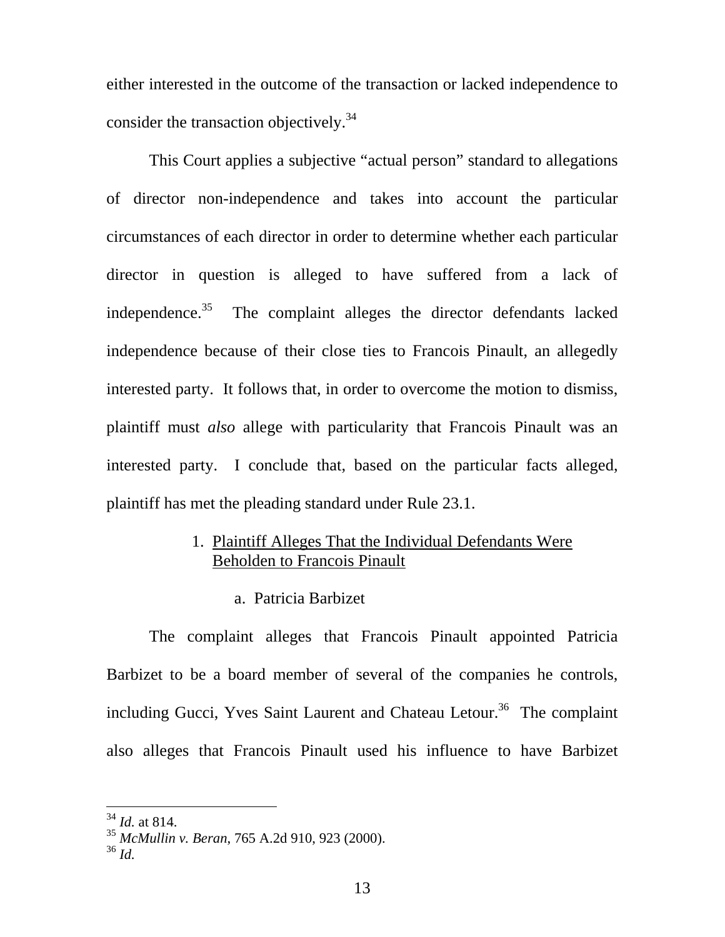either interested in the outcome of the transaction or lacked independence to consider the transaction objectively.<sup>[34](#page-12-0)</sup>

This Court applies a subjective "actual person" standard to allegations of director non-independence and takes into account the particular circumstances of each director in order to determine whether each particular director in question is alleged to have suffered from a lack of independence. $35$  The complaint alleges the director defendants lacked independence because of their close ties to Francois Pinault, an allegedly interested party. It follows that, in order to overcome the motion to dismiss, plaintiff must *also* allege with particularity that Francois Pinault was an interested party. I conclude that, based on the particular facts alleged, plaintiff has met the pleading standard under Rule 23.1.

# 1. Plaintiff Alleges That the Individual Defendants Were Beholden to Francois Pinault

a. Patricia Barbizet

The complaint alleges that Francois Pinault appointed Patricia Barbizet to be a board member of several of the companies he controls, including Gucci, Yves Saint Laurent and Chateau Letour.<sup>36</sup> The complaint also alleges that Francois Pinault used his influence to have Barbizet

<span id="page-12-0"></span><sup>34</sup> *Id.* at 814.

<span id="page-12-1"></span><sup>35</sup> *McMullin v. Beran*, 765 A.2d 910, 923 (2000).

<span id="page-12-2"></span><sup>36</sup> *Id.*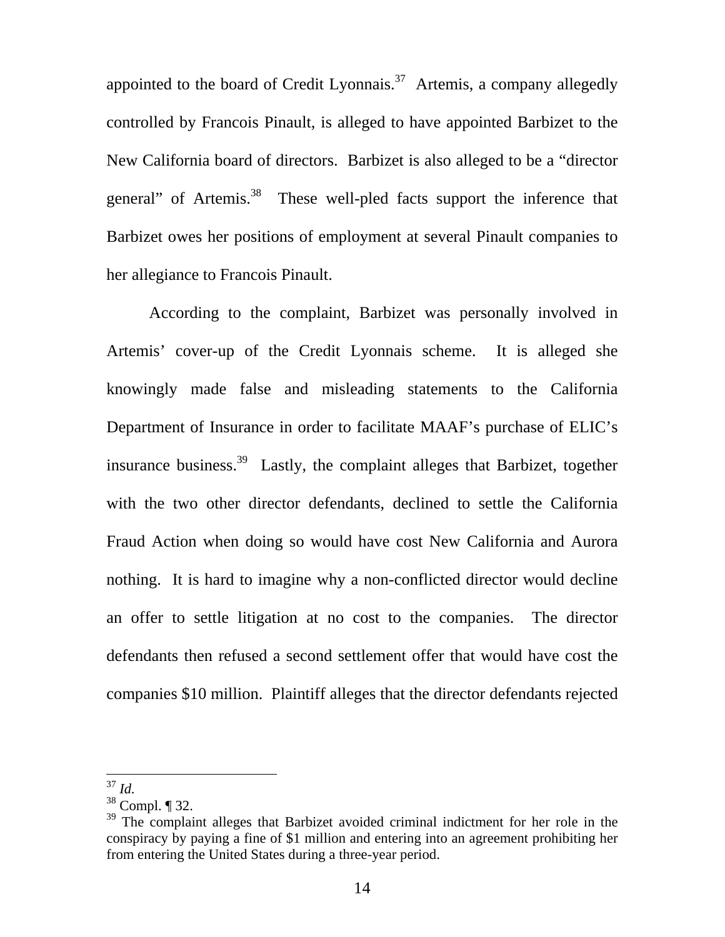appointed to the board of Credit Lyonnais.<sup>37</sup> Artemis, a company allegedly controlled by Francois Pinault, is alleged to have appointed Barbizet to the New California board of directors. Barbizet is also alleged to be a "director general" of Artemis.[38](#page-13-1) These well-pled facts support the inference that Barbizet owes her positions of employment at several Pinault companies to her allegiance to Francois Pinault.

According to the complaint, Barbizet was personally involved in Artemis' cover-up of the Credit Lyonnais scheme. It is alleged she knowingly made false and misleading statements to the California Department of Insurance in order to facilitate MAAF's purchase of ELIC's insurance business[.39](#page-13-2) Lastly, the complaint alleges that Barbizet, together with the two other director defendants, declined to settle the California Fraud Action when doing so would have cost New California and Aurora nothing. It is hard to imagine why a non-conflicted director would decline an offer to settle litigation at no cost to the companies. The director defendants then refused a second settlement offer that would have cost the companies \$10 million. Plaintiff alleges that the director defendants rejected

<span id="page-13-0"></span><sup>37</sup> *Id.*

<span id="page-13-1"></span> $38$  Compl. ¶ 32.

<span id="page-13-2"></span><sup>&</sup>lt;sup>39</sup> The complaint alleges that Barbizet avoided criminal indictment for her role in the conspiracy by paying a fine of \$1 million and entering into an agreement prohibiting her from entering the United States during a three-year period.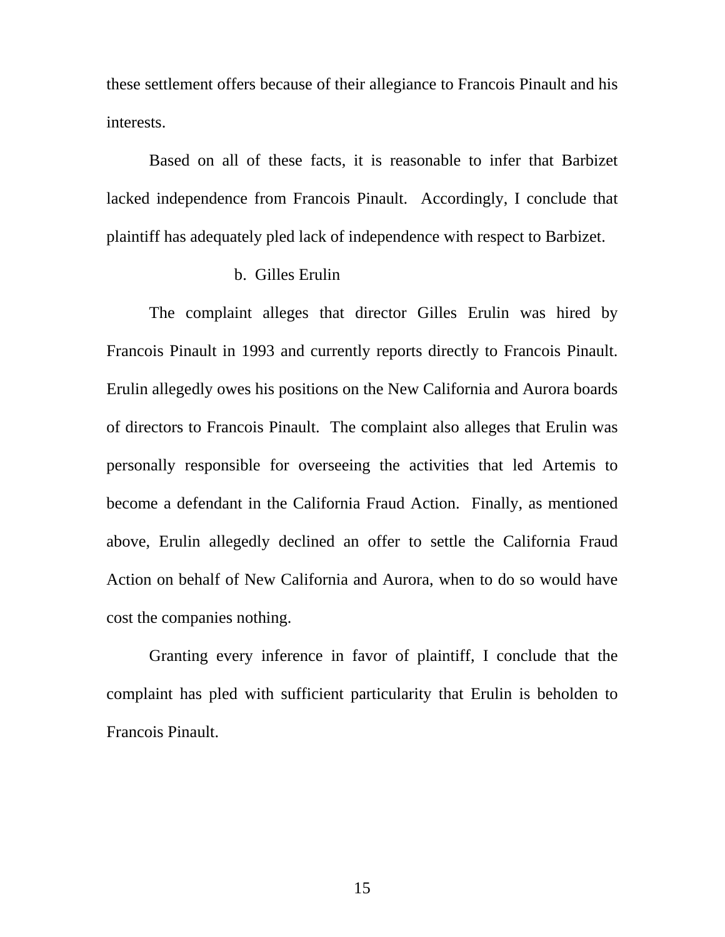these settlement offers because of their allegiance to Francois Pinault and his interests.

Based on all of these facts, it is reasonable to infer that Barbizet lacked independence from Francois Pinault. Accordingly, I conclude that plaintiff has adequately pled lack of independence with respect to Barbizet.

# b. Gilles Erulin

The complaint alleges that director Gilles Erulin was hired by Francois Pinault in 1993 and currently reports directly to Francois Pinault. Erulin allegedly owes his positions on the New California and Aurora boards of directors to Francois Pinault. The complaint also alleges that Erulin was personally responsible for overseeing the activities that led Artemis to become a defendant in the California Fraud Action. Finally, as mentioned above, Erulin allegedly declined an offer to settle the California Fraud Action on behalf of New California and Aurora, when to do so would have cost the companies nothing.

Granting every inference in favor of plaintiff, I conclude that the complaint has pled with sufficient particularity that Erulin is beholden to Francois Pinault.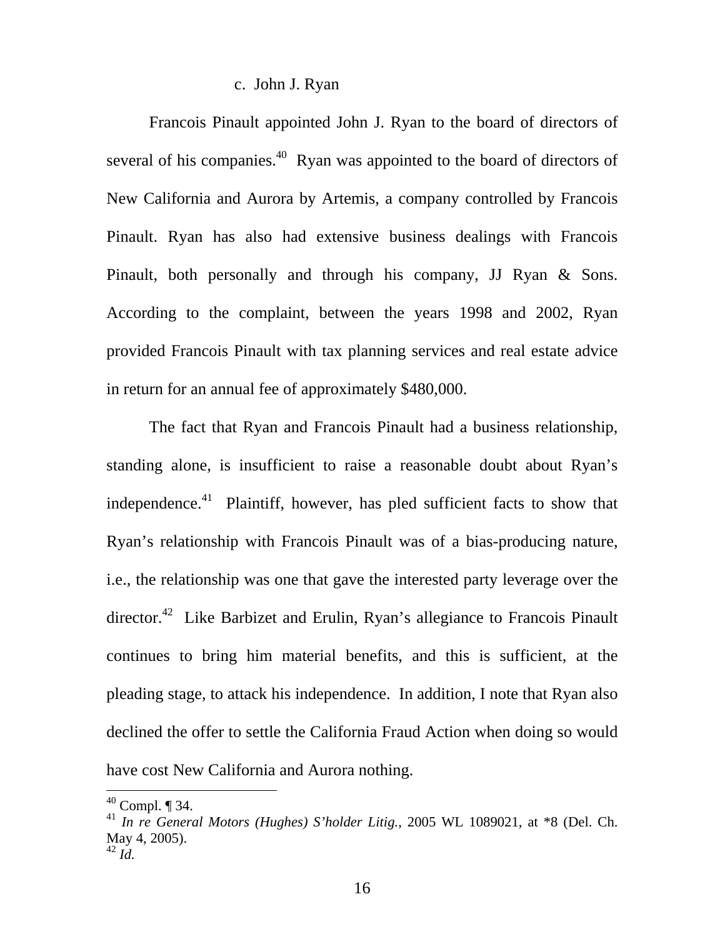#### c. John J. Ryan

Francois Pinault appointed John J. Ryan to the board of directors of several of his companies.<sup>40</sup> Ryan was appointed to the board of directors of New California and Aurora by Artemis, a company controlled by Francois Pinault. Ryan has also had extensive business dealings with Francois Pinault, both personally and through his company, JJ Ryan & Sons. According to the complaint, between the years 1998 and 2002, Ryan provided Francois Pinault with tax planning services and real estate advice in return for an annual fee of approximately \$480,000.

The fact that Ryan and Francois Pinault had a business relationship, standing alone, is insufficient to raise a reasonable doubt about Ryan's independence.<sup>41</sup> Plaintiff, however, has pled sufficient facts to show that Ryan's relationship with Francois Pinault was of a bias-producing nature, i.e., the relationship was one that gave the interested party leverage over the director.<sup>42</sup> Like Barbizet and Erulin, Ryan's allegiance to Francois Pinault continues to bring him material benefits, and this is sufficient, at the pleading stage, to attack his independence. In addition, I note that Ryan also declined the offer to settle the California Fraud Action when doing so would have cost New California and Aurora nothing.

<span id="page-15-0"></span> $40$  Compl.  $\P$  34.

<span id="page-15-2"></span><span id="page-15-1"></span><sup>41</sup> *In re General Motors (Hughes) S'holder Litig.*, 2005 WL 1089021, at \*8 (Del. Ch. May 4, 2005).  $^{42}$  *Id.*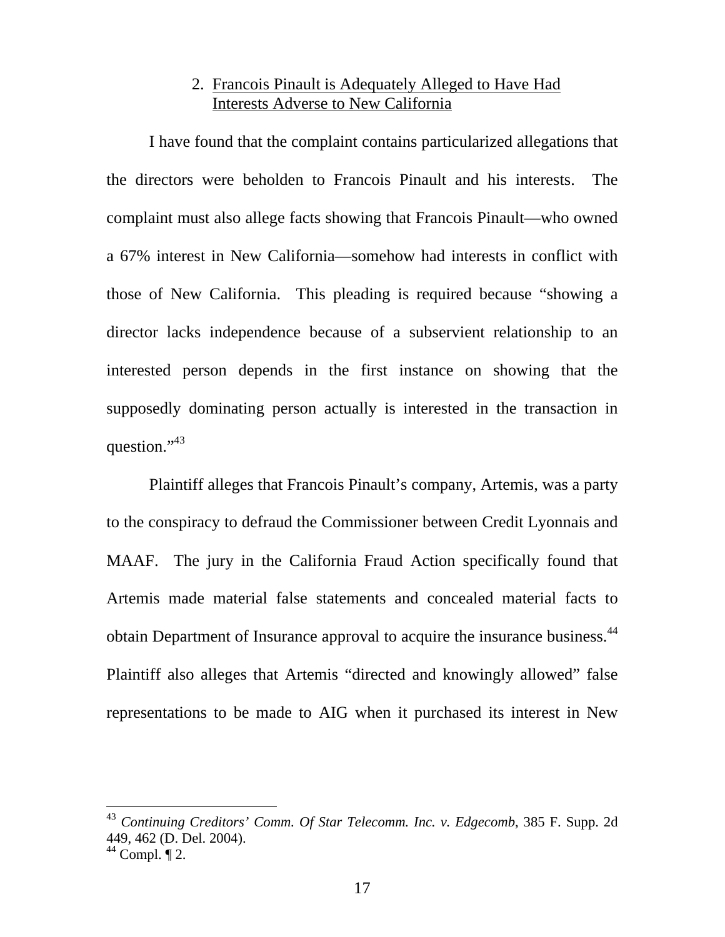# 2. Francois Pinault is Adequately Alleged to Have Had Interests Adverse to New California

I have found that the complaint contains particularized allegations that the directors were beholden to Francois Pinault and his interests. The complaint must also allege facts showing that Francois Pinault—who owned a 67% interest in New California—somehow had interests in conflict with those of New California. This pleading is required because "showing a director lacks independence because of a subservient relationship to an interested person depends in the first instance on showing that the supposedly dominating person actually is interested in the transaction in question."<sup>43</sup>

Plaintiff alleges that Francois Pinault's company, Artemis, was a party to the conspiracy to defraud the Commissioner between Credit Lyonnais and MAAF. The jury in the California Fraud Action specifically found that Artemis made material false statements and concealed material facts to obtain Department of Insurance approval to acquire the insurance business.<sup>44</sup> Plaintiff also alleges that Artemis "directed and knowingly allowed" false representations to be made to AIG when it purchased its interest in New

<span id="page-16-0"></span><sup>43</sup> *Continuing Creditors' Comm. Of Star Telecomm. Inc. v. Edgecomb*, 385 F. Supp. 2d 449, 462 (D. Del. 2004).  $44$  Compl.  $\P$  2.

<span id="page-16-1"></span>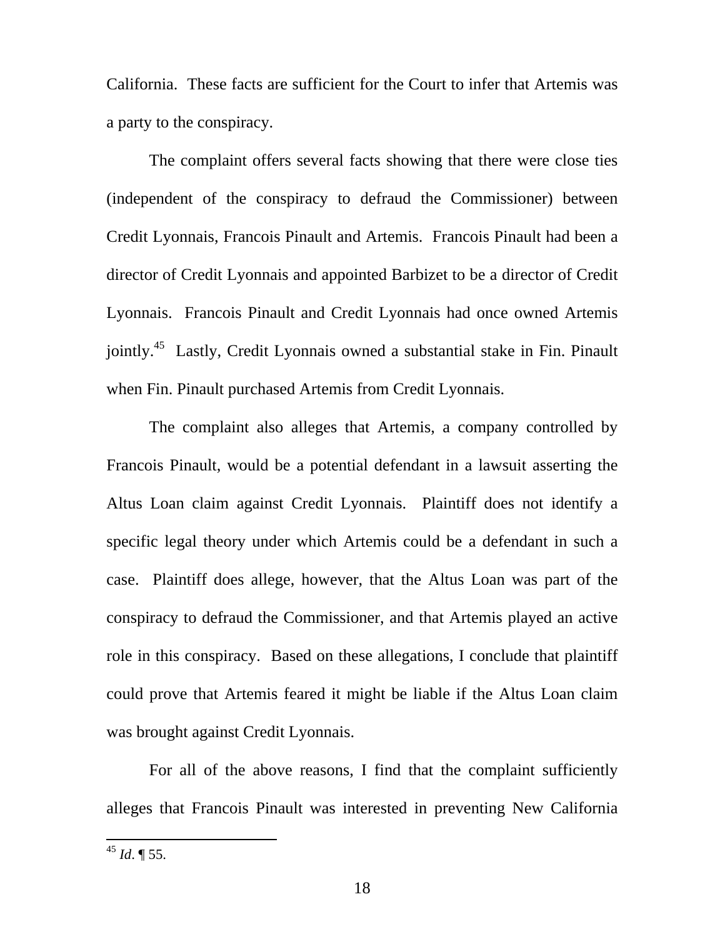California. These facts are sufficient for the Court to infer that Artemis was a party to the conspiracy.

The complaint offers several facts showing that there were close ties (independent of the conspiracy to defraud the Commissioner) between Credit Lyonnais, Francois Pinault and Artemis. Francois Pinault had been a director of Credit Lyonnais and appointed Barbizet to be a director of Credit Lyonnais. Francois Pinault and Credit Lyonnais had once owned Artemis jointly.<sup>45</sup> Lastly, Credit Lyonnais owned a substantial stake in Fin. Pinault when Fin. Pinault purchased Artemis from Credit Lyonnais.

The complaint also alleges that Artemis, a company controlled by Francois Pinault, would be a potential defendant in a lawsuit asserting the Altus Loan claim against Credit Lyonnais. Plaintiff does not identify a specific legal theory under which Artemis could be a defendant in such a case. Plaintiff does allege, however, that the Altus Loan was part of the conspiracy to defraud the Commissioner, and that Artemis played an active role in this conspiracy. Based on these allegations, I conclude that plaintiff could prove that Artemis feared it might be liable if the Altus Loan claim was brought against Credit Lyonnais.

For all of the above reasons, I find that the complaint sufficiently alleges that Francois Pinault was interested in preventing New California

<span id="page-17-0"></span><sup>45</sup> *Id*. ¶ 55.